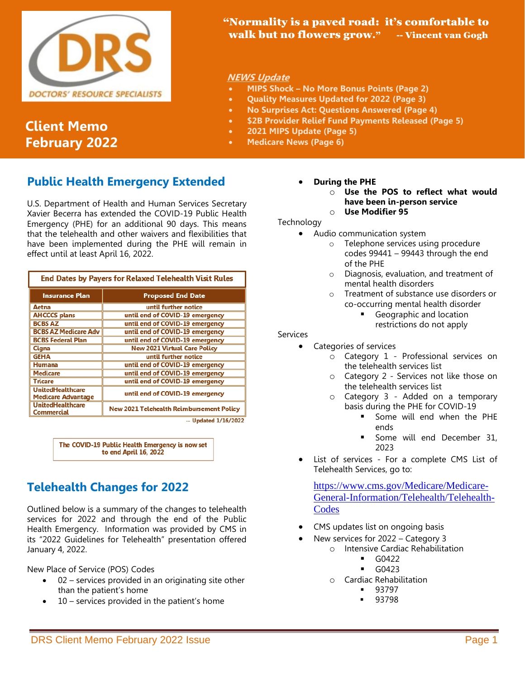

# **Client Memo February 2022**

## "Normality is a paved road: it's comfortable to walk but no flowers grow." -- Vincent van Gogh

### **NEWS Update**

- **MIPS Shock – No More Bonus Points (Page 2)**
- **Quality Measures Updated for 2022 (Page 3)**
- **No Surprises Act: Questions Answered (Page 4)**
	- **\$2B Provider Relief Fund Payments Released (Page 5)**
- **2021 MIPS Update (Page 5)**
- **Medicare News (Page 6)**

# **Public Health Emergency Extended**

U.S. Department of Health and Human Services Secretary Xavier Becerra has extended the COVID-19 Public Health Emergency (PHE) for an additional 90 days. This means that the telehealth and other waivers and flexibilities that have been implemented during the PHE will remain in effect until at least April 16, 2022.

| End Dates by Payers for Relaxed Telehealth Visit Rules |                                                 |
|--------------------------------------------------------|-------------------------------------------------|
| Insurance Plan                                         | <b>Proposed End Date</b>                        |
| Aetna                                                  | until further notice                            |
| <b>AHCCCS plans</b>                                    | until end of COVID-19 emergency                 |
| <b>BCBS AZ</b>                                         | until end of COVID-19 emergency                 |
| <b>BCBS AZ Medicare Adv</b>                            | until end of COVID-19 emergency                 |
| <b>BCBS Federal Plan</b>                               | until end of COVID-19 emergency                 |
| Cigna                                                  | <b>New 2021 Virtual Care Policy</b>             |
| <b>GEHA</b>                                            | until further notice                            |
| Humana                                                 | until end of COVID-19 emergency                 |
| Medicare                                               | until end of COVID-19 emergency                 |
| Tricare                                                | until end of COVID-19 emergency                 |
| <b>UnitedHealthcare</b><br>Medicare Advantage          | until end of COVID-19 emergency                 |
| <b>UnitedHealthcare</b><br>Commercial                  | <b>New 2021 Telehealth Reimbursement Policy</b> |
|                                                        | $-$ Updated $1/16/2022$                         |

The COVID-19 Public Health Emergency is now set to end April 16, 2022

# **Telehealth Changes for 2022**

Outlined below is a summary of the changes to telehealth services for 2022 and through the end of the Public Health Emergency. Information was provided by CMS in its "2022 Guidelines for Telehealth" presentation offered January 4, 2022.

New Place of Service (POS) Codes

- 02 services provided in an originating site other than the patient's home
- 10 services provided in the patient's home
- **During the PHE**
	- o **Use the POS to reflect what would have been in-person service** o **Use Modifier 95**

### Technology

- Audio communication system
	- o Telephone services using procedure codes 99441 – 99443 through the end of the PHE
	- o Diagnosis, evaluation, and treatment of mental health disorders
	- o Treatment of substance use disorders or co-occurring mental health disorder
		- Geographic and location restrictions do not apply

#### Services

- Categories of services
	- o Category 1 Professional services on the telehealth services list
	- o Category 2 Services not like those on the telehealth services list
	- o Category 3 Added on a temporary basis during the PHE for COVID-19
		- Some will end when the PHE ends
		- Some will end December 31, 2023
- List of services For a complete CMS List of Telehealth Services, go to:

[https://www.cms.gov/Medicare/Medicare-](https://www.cms.gov/Medicare/Medicare-General-Information/Telehealth/Telehealth-Codes)[General-Information/Telehealth/Telehealth-](https://www.cms.gov/Medicare/Medicare-General-Information/Telehealth/Telehealth-Codes)**[Codes](https://www.cms.gov/Medicare/Medicare-General-Information/Telehealth/Telehealth-Codes)** 

- CMS updates list on ongoing basis
- New services for 2022 Category 3
	- o Intensive Cardiac Rehabilitation
		- $\blacksquare$  G0422
		- G0423
		- o Cardiac Rehabilitation
			- **■** 93797 93798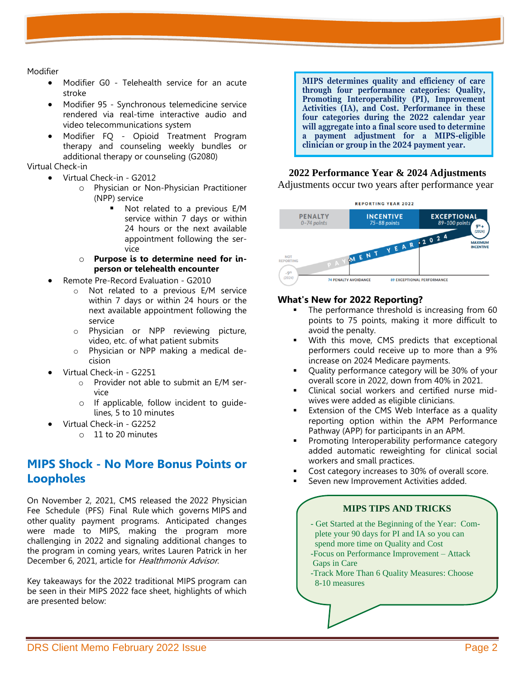Modifier

- Modifier G0 Telehealth service for an acute stroke
- Modifier 95 Synchronous telemedicine service rendered via real-time interactive audio and video telecommunications system
- Modifier FQ Opioid Treatment Program therapy and counseling weekly bundles or additional therapy or counseling (G2080)

Virtual Check-in

- Virtual Check-in G2012
	- o Physician or Non-Physician Practitioner (NPP) service
		- Not related to a previous E/M service within 7 days or within 24 hours or the next available appointment following the service
	- o **Purpose is to determine need for inperson or telehealth encounter**
- Remote Pre-Record Evaluation G2010
	- o Not related to a previous E/M service within 7 days or within 24 hours or the next available appointment following the service
	- o Physician or NPP reviewing picture, video, etc. of what patient submits
	- o Physician or NPP making a medical decision
- Virtual Check-in G2251
	- o Provider not able to submit an E/M service
	- o If applicable, follow incident to guidelines, 5 to 10 minutes
- Virtual Check-in G2252
	- o 11 to 20 minutes

## **MIPS Shock - No More Bonus Points or Loopholes**

On November 2, 2021, CMS released the [2022 Physician](https://public-inspection.federalregister.gov/2021-14973.pdf)  [Fee Schedule \(PFS\) Final Rule](https://public-inspection.federalregister.gov/2021-14973.pdf) which governs MIPS and other [quality payment programs.](https://qpp.cms.gov/about/qpp-overview) Anticipated changes were made to MIPS, making the program more challenging in 2022 and signaling additional changes to the program in coming years, writes Lauren Patrick in her December 6, 2021, article for Healthmonix Advisor.

Key takeaways for the 2022 [traditional MIPS](https://qpp.cms.gov/mips/traditional-mips) program can be seen in their MIPS 2022 face sheet, highlights of which are presented below:

**MIPS determines quality and efficiency of care through four performance categories: Quality, Promoting Interoperability (PI), Improvement Activities (IA), and Cost. Performance in these four categories during the 2022 calendar year will aggregate into a final score used to determine a payment adjustment for a MIPS-eligible clinician or group in the 2024 payment year.**

### **2022 Performance Year & 2024 Adjustments**

Adjustments occur two years after performance year



#### **What's New for 2022 Reporting?**

- The performance threshold is increasing from 60 points to 75 points, making it more difficult to avoid the penalty.
- With this move, CMS predicts that exceptional performers could receive up to more than a 9% increase on 2024 Medicare payments.
- Quality performance category will be 30% of your overall score in 2022, down from 40% in 2021.
- Clinical social workers and certified nurse midwives were added as eligible clinicians.
- Extension of the CMS Web Interface as a quality reporting option within the APM Performance Pathway (APP) for participants in an APM.
- Promoting Interoperability performance category added automatic reweighting for clinical social workers and small practices.
- Cost category increases to 30% of overall score.
- Seven new Improvement Activities added.

#### **MIPS TIPS AND TRICKS**

- Get Started at the Beginning of the Year: Com plete your 90 days for PI and IA so you can spend more time on Quality and Cost
- -Focus on Performance Improvement Attack Gaps in Care
- -Track More Than 6 Quality Measures: Choose 8-10 measures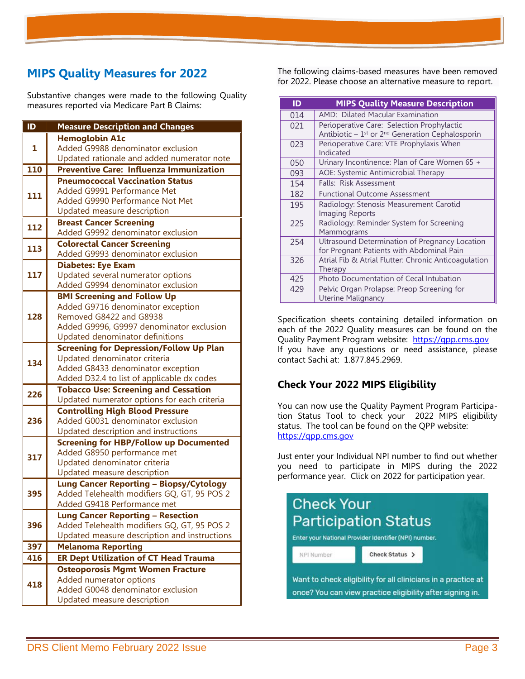# **MIPS Quality Measures for 2022**

Substantive changes were made to the following Quality measures reported via Medicare Part B Claims:

| ID  | <b>Measure Description and Changes</b>                                                |
|-----|---------------------------------------------------------------------------------------|
|     | <b>Hemoglobin A1c</b>                                                                 |
| 1   | Added G9988 denominator exclusion                                                     |
|     | Updated rationale and added numerator note                                            |
| 110 | <b>Preventive Care: Influenza Immunization</b>                                        |
|     | <b>Pneumococcal Vaccination Status</b>                                                |
| 111 | Added G9991 Performance Met                                                           |
|     | Added G9990 Performance Not Met                                                       |
|     | <b>Updated measure description</b>                                                    |
| 112 | <b>Breast Cancer Screening</b><br>Added G9992 denominator exclusion                   |
|     | <b>Colorectal Cancer Screening</b>                                                    |
| 113 | Added G9993 denominator exclusion                                                     |
|     | <b>Diabetes: Eye Exam</b>                                                             |
| 117 | Updated several numerator options                                                     |
|     | Added G9994 denominator exclusion                                                     |
|     | <b>BMI Screening and Follow Up</b>                                                    |
|     | Added G9716 denominator exception                                                     |
| 128 | Removed G8422 and G8938                                                               |
|     | Added G9996, G9997 denominator exclusion                                              |
|     | Updated denominator definitions                                                       |
|     | <b>Screening for Depression/Follow Up Plan</b>                                        |
| 134 | Updated denominator criteria                                                          |
|     | Added G8433 denominator exception                                                     |
|     | Added D32.4 to list of applicable dx codes                                            |
| 226 | <b>Tobacco Use: Screening and Cessation</b>                                           |
|     | Updated numerator options for each criteria<br><b>Controlling High Blood Pressure</b> |
| 236 | Added G0031 denominator exclusion                                                     |
|     | Updated description and instructions                                                  |
|     | <b>Screening for HBP/Follow up Documented</b>                                         |
|     | Added G8950 performance met                                                           |
| 317 | Updated denominator criteria                                                          |
|     | Updated measure description                                                           |
|     | <b>Lung Cancer Reporting - Biopsy/Cytology</b>                                        |
| 395 | Added Telehealth modifiers GQ, GT, 95 POS 2                                           |
|     | Added G9418 Performance met                                                           |
|     | <b>Lung Cancer Reporting - Resection</b>                                              |
| 396 | Added Telehealth modifiers GQ, GT, 95 POS 2                                           |
|     | Updated measure description and instructions                                          |
| 397 | <b>Melanoma Reporting</b>                                                             |
| 416 | <b>ER Dept Utilization of CT Head Trauma</b>                                          |
|     | <b>Osteoporosis Mgmt Women Fracture</b>                                               |
| 418 | Added numerator options<br>Added G0048 denominator exclusion                          |
|     | Updated measure description                                                           |
|     |                                                                                       |

The following claims-based measures have been removed for 2022. Please choose an alternative measure to report.

| ID  | <b>MIPS Quality Measure Description</b>                         |
|-----|-----------------------------------------------------------------|
| 014 | AMD: Dilated Macular Examination                                |
| 021 | Perioperative Care: Selection Prophylactic                      |
|     | Antibiotic $-1$ <sup>st</sup> or $2nd$ Generation Cephalosporin |
| 023 | Perioperative Care: VTE Prophylaxis When                        |
|     | Indicated                                                       |
| 050 | Urinary Incontinence: Plan of Care Women 65 +                   |
| 093 | AOE: Systemic Antimicrobial Therapy                             |
| 154 | Falls: Risk Assessment                                          |
| 182 | <b>Functional Outcome Assessment</b>                            |
| 195 | Radiology: Stenosis Measurement Carotid                         |
|     | <b>Imaging Reports</b>                                          |
| 225 | Radiology: Reminder System for Screening                        |
|     | Mammograms                                                      |
| 254 | Ultrasound Determination of Pregnancy Location                  |
|     | for Pregnant Patients with Abdominal Pain                       |
| 326 | Atrial Fib & Atrial Flutter: Chronic Anticoagulation            |
|     | Therapy                                                         |
| 425 | Photo Documentation of Cecal Intubation                         |
| 429 | Pelvic Organ Prolapse: Preop Screening for                      |
|     | Uterine Malignancy                                              |

Specification sheets containing detailed information on each of the 2022 Quality measures can be found on the Quality Payment Program website: [https://qpp.cms.gov](https://qpp.cms.gov/) If you have any questions or need assistance, please contact Sachi at: 1.877.845.2969.

### **Check Your 2022 MIPS Eligibility**

You can now use the [Quality Payment Program Participa](https://lnks.gd/l/eyJhbGciOiJIUzI1NiJ9.eyJidWxsZXRpbl9saW5rX2lkIjoxMTksInVyaSI6ImJwMjpjbGljayIsImJ1bGxldGluX2lkIjoiMjAyMTExMjMuNDkyNjc2MjEiLCJ1cmwiOiJodHRwczovL3FwcC5jbXMuZ292L3BhcnRpY2lwYXRpb24tbG9va3VwIn0.y7xpRXAMCgJ-jT5mY-o7kGy_D1enLOiNREU2Xh3NUNA/s/148356598/br/121570721808-l)[tion Status Tool](https://lnks.gd/l/eyJhbGciOiJIUzI1NiJ9.eyJidWxsZXRpbl9saW5rX2lkIjoxMTksInVyaSI6ImJwMjpjbGljayIsImJ1bGxldGluX2lkIjoiMjAyMTExMjMuNDkyNjc2MjEiLCJ1cmwiOiJodHRwczovL3FwcC5jbXMuZ292L3BhcnRpY2lwYXRpb24tbG9va3VwIn0.y7xpRXAMCgJ-jT5mY-o7kGy_D1enLOiNREU2Xh3NUNA/s/148356598/br/121570721808-l) to check your 2022 MIPS eligibility status. The tool can be found on the QPP website: https://qpp.cms.gov

Just enter your Individual NPI number to find out whether you need to participate in MIPS during the 2022 performance year. Click on 2022 for participation year.

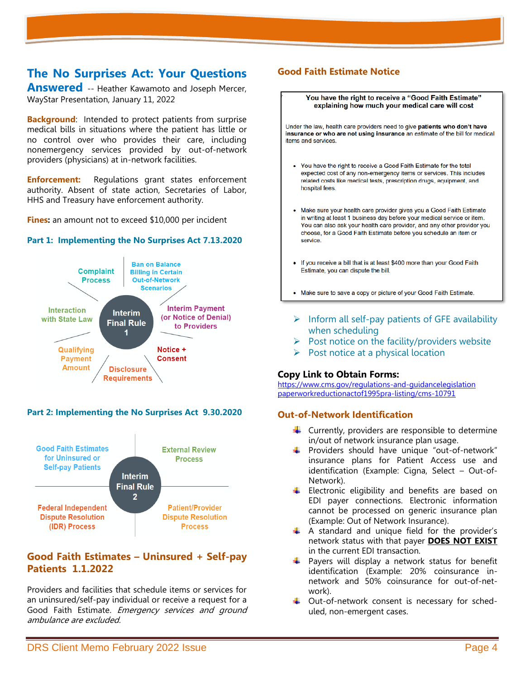## **The No Surprises Act: Your Questions**

**Answered** -- Heather Kawamoto and Joseph Mercer, WayStar Presentation, January 11, 2022

**Background:** Intended to protect patients from surprise medical bills in situations where the patient has little or no control over who provides their care, including nonemergency services provided by out-of-network providers (physicians) at in-network facilities.

**Enforcement:** Regulations grant states enforcement authority. Absent of state action, Secretaries of Labor, HHS and Treasury have enforcement authority.

**Fines:** an amount not to exceed \$10,000 per incident

#### **Part 1: Implementing the No Surprises Act 7.13.2020**



#### **Part 2: Implementing the No Surprises Act 9.30.2020**



### **Good Faith Estimates – Uninsured + Self-pay Patients 1.1.2022**

Providers and facilities that schedule items or services for an uninsured/self-pay individual or receive a request for a Good Faith Estimate. Emergency services and ground ambulance are excluded.

## **Good Faith Estimate Notice**



- $\triangleright$  Post notice on the facility/providers website
- $\triangleright$  Post notice at a physical location

#### **Copy Link to Obtain Forms:**

<https://www.cms.gov/regulations-and-guidancelegislation> [paperworkreductionactof1995pra-listing/cms-10791](https://www.cms.gov/regulations-and-guidancelegislation)

#### **Out-of-Network Identification**

- $\downarrow$  Currently, providers are responsible to determine in/out of network insurance plan usage.
- Providers should have unique "out-of-network" insurance plans for Patient Access use and identification (Example: Cigna, Select – Out-of-Network).
- $\downarrow$  Electronic eligibility and benefits are based on EDI payer connections. Electronic information cannot be processed on generic insurance plan (Example: Out of Network Insurance).
- $\uparrow$  A standard and unique field for the provider's network status with that payer **DOES NOT EXIST** in the current EDI transaction.
- Payers will display a network status for benefit identification (Example: 20% coinsurance innetwork and 50% coinsurance for out-of-network).
- Uut-of-network consent is necessary for scheduled, non-emergent cases.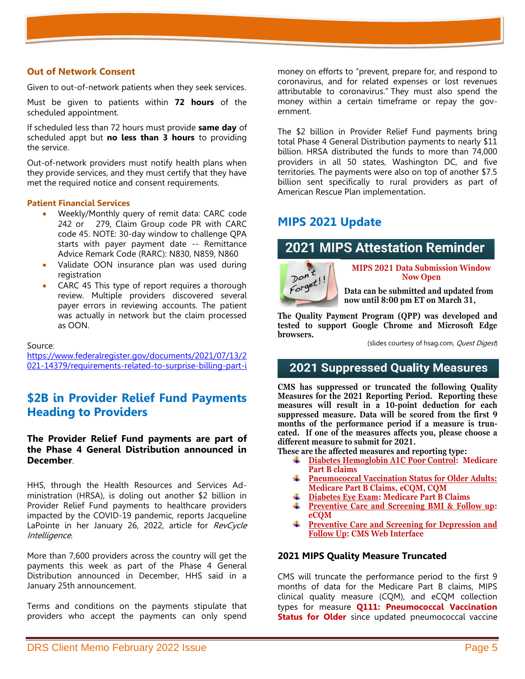### **Out of Network Consent**

Given to out-of-network patients when they seek services.

Must be given to patients within **72 hours** of the scheduled appointment.

If scheduled less than 72 hours must provide **same day** of scheduled appt but **no less than 3 hours** to providing the service.

Out-of-network providers must notify health plans when they provide services, and they must certify that they have met the required notice and consent requirements.

#### **Patient Financial Services**

- Weekly/Monthly query of remit data: CARC code 242 or 279, Claim Group code PR with CARC code 45. NOTE: 30-day window to challenge QPA starts with payer payment date -- Remittance Advice Remark Code (RARC): N830, N859, N860
- Validate OON insurance plan was used during registration
- CARC 45 This type of report requires a thorough review. Multiple providers discovered several payer errors in reviewing accounts. The patient was actually in network but the claim processed as OON.

Source:

[https://www.federalregister.gov/documents/2021/07/13/2](http://www.federalregister.gov/documents/2021/07/13/2021-) [021-14379/requirements-related-to-surprise-billing-part-i](http://www.federalregister.gov/documents/2021/07/13/2021-)

## **\$2B in Provider Relief Fund Payments Heading to Providers**

**The Provider Relief Fund payments are part of the Phase 4 General Distribution announced in December**.

HHS, through the Health Resources and Services Administration (HRSA), is doling out another \$2 billion in Provider Relief Fund payments to healthcare providers impacted by the COVID-19 pandemic, reports Jacqueline LaPointe in her January 26, 2022, article for RevCycle Intelligence.

More than 7,600 providers across the country will get the payments this week as part of the Phase 4 General Distribution announced in December, HHS said in a January 25th announcement.

Terms and conditions on the payments stipulate that providers who accept the payments can only spend

money on efforts to "prevent, prepare for, and respond to coronavirus, and for related expenses or lost revenues attributable to coronavirus." They must also spend the money within a certain timeframe or repay the government.

The \$2 billion in Provider Relief Fund payments bring total Phase 4 General Distribution payments to nearly \$11 billion. HRSA distributed the funds to more than 74,000 providers in all 50 states, Washington DC, and five territories. The payments were also on top of another \$7.5 billion sent specifically to rural providers as part of American Rescue Plan implementation**.**

## **MIPS 2021 Update**

# **2021 MIPS Attestation Reminder**



**MIPS 2021 Data Submission Window Now Open**

**Data can be submitted and updated from now until 8:00 pm ET on March 31,** 

**The Quality Payment Program (QPP) was developed and tested to support Google Chrome and Microsoft Edge browsers. 2022.**

(slides courtesy of hsag.com, Quest Digest)

## **2021 Suppressed Quality Measures**

**CMS has suppressed or truncated the following Quality Measures for the 2021 Reporting Period. Reporting these measures will result in a 10-point deduction for each suppressed measure. Data will be scored from the first 9 months of the performance period if a measure is truncated. If one of the measures affects you, please choose a different measure to submit for 2021.** 

**These are the affected measures and reporting type:**

- **Diabetes Hemoglobin A1C Poor Control: Medicare**  ₩. **Part B claims**
- **Pneumococcal Vaccination Status for Older Adults:**  ÷. **Medicare Part B Claims, eCQM, CQM**
- **Diabetes Eye Exam: Medicare Part B Claims**
- **Preventive Care and Screening BMI & Follow up: eCQM**
- **Preventive Care and Screening for Depression and**  ₩. **Follow Up: CMS Web Interface**

#### **2021 MIPS Quality Measure Truncated**

CMS will truncate the performance period to the first 9 months of data for the Medicare Part B claims, MIPS clinical quality measure (CQM), and eCQM collection types for measure **Q111: Pneumococcal Vaccination Status for Older** since updated pneumococcal vaccine